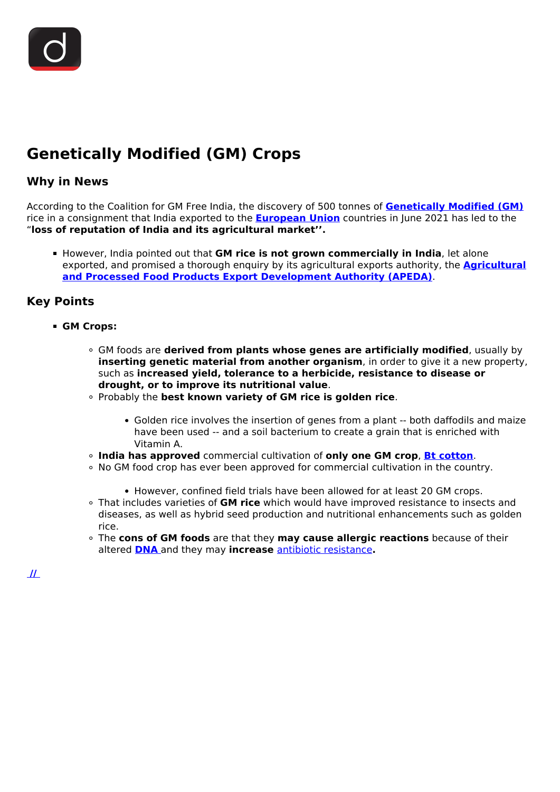## **Genetically Modified (GM) Crops**

## **Why in News**

According to the Coalition for GM Free India, the discovery of 500 tonnes of **[Genetically Modified \(GM\)](/daily-updates/daily-news-analysis/intentional-genomic-alteration)** rice in a consignment that India exported to the **[European Union](/important-institutions/drishti-specials-important-institutions-international-institution/european-union)** countries in June 2021 has led to the "**loss of reputation of India and its agricultural market''.**

**However, India pointed out that GM rice is not grown commercially in India, let alone** exported, and promised a thorough enquiry by its agricultural exports authority, the **[Agricultural](/important-institutions/drishti-specials-important-institutions-national-institutions/apeda-trifed) [and Processed Food Products Export Development Authority \(APEDA\)](/important-institutions/drishti-specials-important-institutions-national-institutions/apeda-trifed)**.

## **Key Points**

- **GM Crops:**
	- GM foods are **derived from plants whose genes are artificially modified**, usually by **inserting genetic material from another organism**, in order to give it a new property, such as **increased yield, tolerance to a herbicide, resistance to disease or drought, or to improve its nutritional value**.
	- Probably the **best known variety of GM rice is golden rice**.
		- Golden rice involves the insertion of genes from a plant -- both daffodils and maize have been used -- and a soil bacterium to create a grain that is enriched with Vitamin A.
	- **India has approved** commercial cultivation of **only one GM crop**, **[Bt cotton](/daily-updates/daily-news-analysis/herbicide-tolerant-ht-bt-cotton)**.
	- . No GM food crop has ever been approved for commercial cultivation in the country.
		- However, confined field trials have been allowed for at least 20 GM crops.
	- That includes varieties of **GM rice** which would have improved resistance to insects and diseases, as well as hybrid seed production and nutritional enhancements such as golden rice.
	- The **cons of GM foods** are that they **may cause allergic reactions** because of their altered **[DNA](/daily-updates/daily-news-editorials/dna-technology-regulation-bill-1)** and they may **increase** [antibiotic resistance](/daily-updates/daily-news-analysis/antimicrobial-resistance-threat-to-global-health-security)**.**

 **[//](https://www.drishtiias.com/images/uploads/1635154345_image9.jpg)**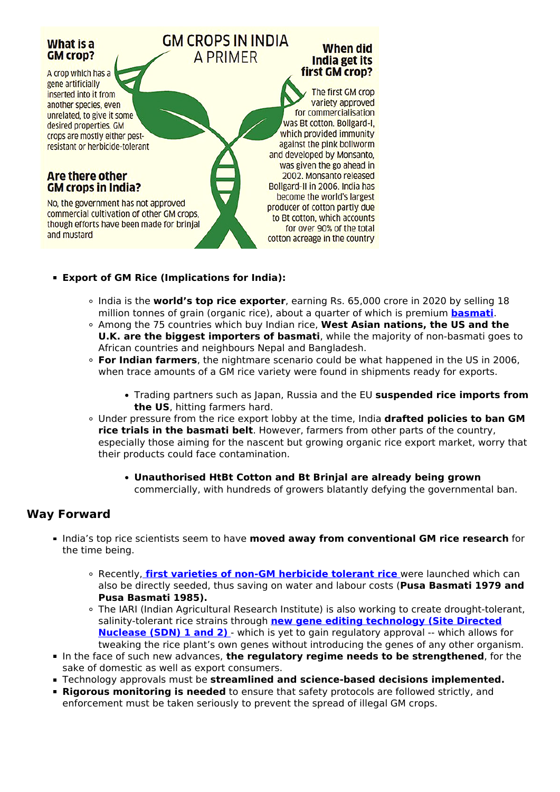

- **Export of GM Rice (Implications for India):**
	- India is the **world's top rice exporter**, earning Rs. 65,000 crore in 2020 by selling 18 million tonnes of grain (organic rice), about a quarter of which is premium **[basmati](/loksabha-rajyasabha-discussions/in-depth-basmati-farming-for-all)**.
	- Among the 75 countries which buy Indian rice, **West Asian nations, the US and the U.K. are the biggest importers of basmati**, while the majority of non-basmati goes to African countries and neighbours Nepal and Bangladesh.
	- **For Indian farmers**, the nightmare scenario could be what happened in the US in 2006, when trace amounts of a GM rice variety were found in shipments ready for exports.
		- Trading partners such as Japan, Russia and the EU **suspended rice imports from the US**, hitting farmers hard.
	- Under pressure from the rice export lobby at the time, India **drafted policies to ban GM rice trials in the basmati belt**. However, farmers from other parts of the country, especially those aiming for the nascent but growing organic rice export market, worry that their products could face contamination.
		- **Unauthorised HtBt Cotton and Bt Brinjal are already being grown** commercially, with hundreds of growers blatantly defying the governmental ban.

## **Way Forward**

- **India's top rice scientists seem to have moved away from conventional GM rice research** for the time being.
	- Recently, **[first varieties of non-GM herbicide tolerant rice](/daily-updates/daily-news-analysis/herbicide-tolerant-rice-varieties#:~:text=Recently%2C%20the%20Indian%20Agricultural%20Research,1979%20and%20Pusa%20Basmati%201985).)** [w](/daily-updates/daily-news-analysis/herbicide-tolerant-rice-varieties#:~:text=Recently%2C%20the%20Indian%20Agricultural%20Research,1979%20and%20Pusa%20Basmati%201985).)ere launched which can also be directly seeded, thus saving on water and labour costs (**Pusa Basmati 1979 and Pusa Basmati 1985).**
	- The IARI (Indian Agricultural Research Institute) is also working to create drought-tolerant, salinity-tolerant rice strains through **[new gene editing technology \(Site Directed](/daily-updates/daily-news-analysis/new-gene-editing-technique) [Nuclease \(SDN\) 1 and 2\)](/daily-updates/daily-news-analysis/new-gene-editing-technique)** - which is yet to gain regulatory approval -- which allows for tweaking the rice plant's own genes without introducing the genes of any other organism.
- In the face of such new advances, the regulatory regime needs to be strengthened, for the sake of domestic as well as export consumers.
- Technology approvals must be **streamlined and science-based decisions implemented.**
- **Rigorous monitoring is needed** to ensure that safety protocols are followed strictly, and enforcement must be taken seriously to prevent the spread of illegal GM crops.